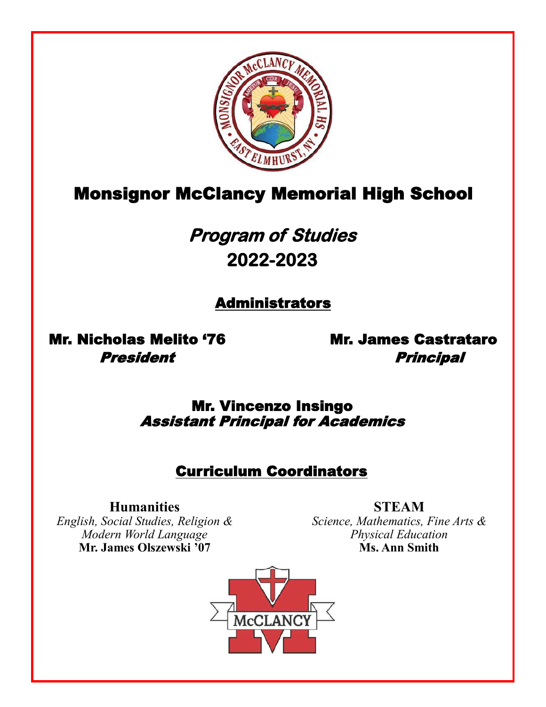

# Monsignor McClancy Memorial High School

# **Program of Studies 2022-2023**

# Administrators

Mr. Nicholas Melito '76 Mr. James Castrataro

President **Principal** 

Mr. Vincenzo Insingo Assistant Principal for Academics

# Curriculum Coordinators

**Humanities**

*English, Social Studies, Religion & Modern World Language* **Mr. James Olszewski '07**

**STEAM** *Science, Mathematics, Fine Arts & Physical Education* **Ms. Ann Smith**

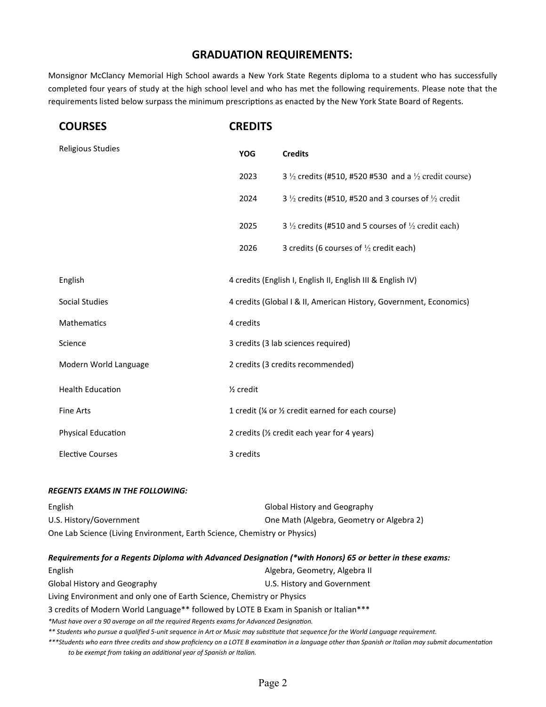## **GRADUATION REQUIREMENTS:**

Monsignor McClancy Memorial High School awards a New York State Regents diploma to a student who has successfully completed four years of study at the high school level and who has met the following requirements. Please note that the requirements listed below surpass the minimum prescriptions as enacted by the New York State Board of Regents.

| <b>COURSES</b>           | <b>CREDITS</b>                                                     |                                                                             |  |
|--------------------------|--------------------------------------------------------------------|-----------------------------------------------------------------------------|--|
| <b>Religious Studies</b> | <b>YOG</b>                                                         | <b>Credits</b>                                                              |  |
|                          | 2023                                                               | 3 $\frac{1}{2}$ credits (#510, #520 #530 and a $\frac{1}{2}$ credit course) |  |
|                          | 2024                                                               | 3 $\frac{1}{2}$ credits (#510, #520 and 3 courses of $\frac{1}{2}$ credit   |  |
|                          | 2025                                                               | 3 $\frac{1}{2}$ credits (#510 and 5 courses of $\frac{1}{2}$ credit each)   |  |
|                          | 2026                                                               | 3 credits (6 courses of $\frac{1}{2}$ credit each)                          |  |
| English                  |                                                                    | 4 credits (English I, English II, English III & English IV)                 |  |
| Social Studies           | 4 credits (Global I & II, American History, Government, Economics) |                                                                             |  |
| Mathematics              | 4 credits                                                          |                                                                             |  |
| Science                  | 3 credits (3 lab sciences required)                                |                                                                             |  |
| Modern World Language    | 2 credits (3 credits recommended)                                  |                                                                             |  |
| <b>Health Education</b>  | 1/ <sub>2</sub> credit                                             |                                                                             |  |
| <b>Fine Arts</b>         | 1 credit (1/4 or 1/2 credit earned for each course)                |                                                                             |  |
| Physical Education       | 2 credits (1/2 credit each year for 4 years)                       |                                                                             |  |
| <b>Elective Courses</b>  | 3 credits                                                          |                                                                             |  |

#### *REGENTS EXAMS IN THE FOLLOWING:*

| <b>English</b>                                                            | Global History and Geography              |
|---------------------------------------------------------------------------|-------------------------------------------|
| U.S. History/Government                                                   | One Math (Algebra, Geometry or Algebra 2) |
| One Lab Science (Living Environment, Earth Science, Chemistry or Physics) |                                           |

#### *Requirements for a Regents Diploma with Advanced Designation (\*with Honors) 65 or better in these exams:*

| English                                                                                                                                              | Algebra, Geometry, Algebra II |  |  |
|------------------------------------------------------------------------------------------------------------------------------------------------------|-------------------------------|--|--|
| <b>Global History and Geography</b>                                                                                                                  | U.S. History and Government   |  |  |
| Living Environment and only one of Earth Science, Chemistry or Physics                                                                               |                               |  |  |
| 3 credits of Modern World Language** followed by LOTE B Exam in Spanish or Italian***                                                                |                               |  |  |
| *Must have over a 90 average on all the required Regents exams for Advanced Designation.                                                             |                               |  |  |
| ** Students who pursue a qualified 5-unit sequence in Art or Music may substitute that sequence for the World Language requirement.                  |                               |  |  |
| ***Students who earn three credits and show proficiency on a LOTE B examination in a language other than Spanish or Italian may submit documentation |                               |  |  |
| to be exempt from taking an additional year of Spanish or Italian.                                                                                   |                               |  |  |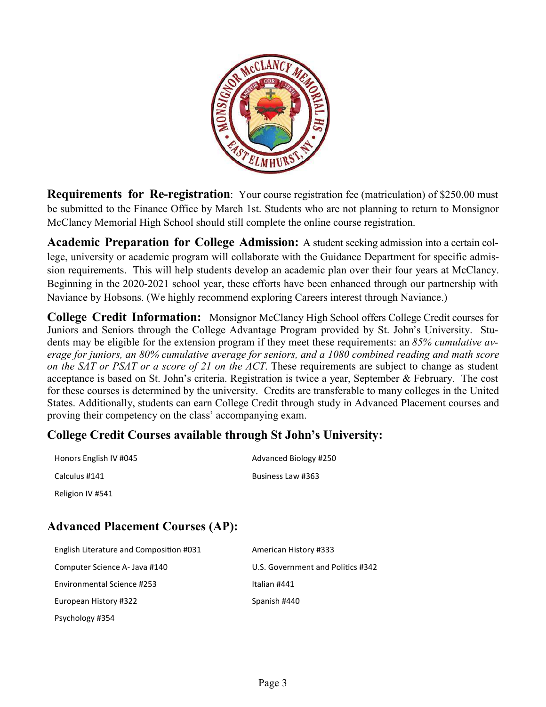

**Requirements for Re-registration**: Your course registration fee (matriculation) of \$250.00 must be submitted to the Finance Office by March 1st. Students who are not planning to return to Monsignor McClancy Memorial High School should still complete the online course registration.

**Academic Preparation for College Admission:** A student seeking admission into a certain college, university or academic program will collaborate with the Guidance Department for specific admission requirements. This will help students develop an academic plan over their four years at McClancy. Beginning in the 2020-2021 school year, these efforts have been enhanced through our partnership with Naviance by Hobsons. (We highly recommend exploring Careers interest through Naviance.)

**College Credit Information:** Monsignor McClancy High School offers College Credit courses for Juniors and Seniors through the College Advantage Program provided by St. John's University. Students may be eligible for the extension program if they meet these requirements: an *85% cumulative average for juniors, an 80% cumulative average for seniors, and a 1080 combined reading and math score on the SAT or PSAT or a score of 21 on the ACT*. These requirements are subject to change as student acceptance is based on St. John's criteria. Registration is twice a year, September & February. The cost for these courses is determined by the university. Credits are transferable to many colleges in the United States. Additionally, students can earn College Credit through study in Advanced Placement courses and proving their competency on the class' accompanying exam.

## **College Credit Courses available through St John's University:**

| Honors English IV #045 | Advanced Biology #250 |
|------------------------|-----------------------|
| Calculus #141          | Business Law #363     |
| Religion IV #541       |                       |

## **Advanced Placement Courses (AP):**

| English Literature and Composition #031 | American History #333             |
|-----------------------------------------|-----------------------------------|
| Computer Science A- Java #140           | U.S. Government and Politics #342 |
| Environmental Science #253              | Italian #441                      |
| European History #322                   | Spanish #440                      |
| Psychology #354                         |                                   |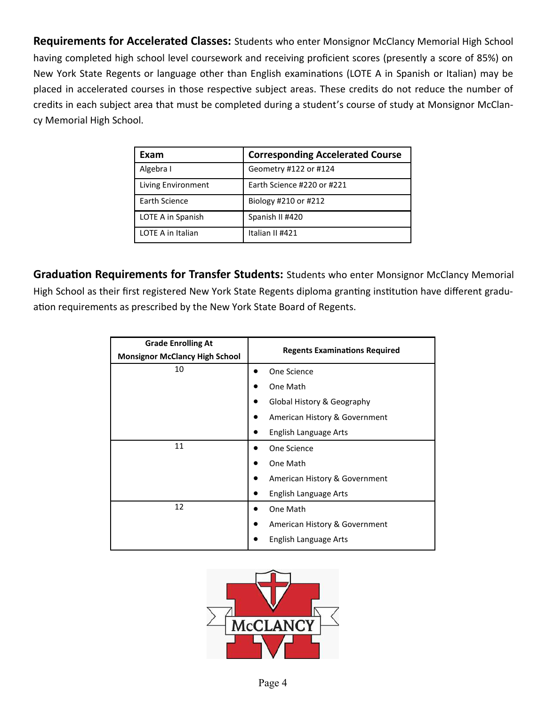**Requirements for Accelerated Classes:** Students who enter Monsignor McClancy Memorial High School having completed high school level coursework and receiving proficient scores (presently a score of 85%) on New York State Regents or language other than English examinations (LOTE A in Spanish or Italian) may be placed in accelerated courses in those respective subject areas. These credits do not reduce the number of credits in each subject area that must be completed during a student's course of study at Monsignor McClancy Memorial High School.

| Exam               | <b>Corresponding Accelerated Course</b> |
|--------------------|-----------------------------------------|
|                    |                                         |
| Algebra I          | Geometry #122 or #124                   |
| Living Environment | Earth Science #220 or #221              |
| Earth Science      | Biology #210 or #212                    |
| LOTE A in Spanish  | Spanish II #420                         |
| LOTE A in Italian  | Italian II #421                         |

**Graduation Requirements for Transfer Students:** Students who enter Monsignor McClancy Memorial High School as their first registered New York State Regents diploma granting institution have different graduation requirements as prescribed by the New York State Board of Regents.

| <b>Grade Enrolling At</b><br><b>Monsignor McClancy High School</b> | <b>Regents Examinations Required</b> |
|--------------------------------------------------------------------|--------------------------------------|
| 10                                                                 | One Science                          |
|                                                                    | One Math                             |
|                                                                    | Global History & Geography           |
|                                                                    | American History & Government        |
|                                                                    | English Language Arts                |
| 11                                                                 | One Science                          |
|                                                                    | One Math                             |
|                                                                    | American History & Government        |
|                                                                    | English Language Arts                |
| 12                                                                 | One Math                             |
|                                                                    | American History & Government        |
|                                                                    | English Language Arts                |

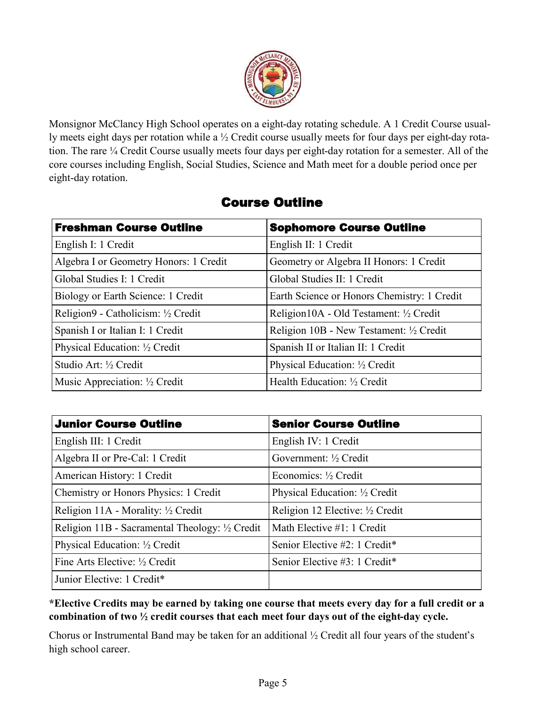

Monsignor McClancy High School operates on a eight-day rotating schedule. A 1 Credit Course usually meets eight days per rotation while a ½ Credit course usually meets for four days per eight-day rotation. The rare ¼ Credit Course usually meets four days per eight-day rotation for a semester. All of the core courses including English, Social Studies, Science and Math meet for a double period once per eight-day rotation.

| <b>Freshman Course Outline</b>         | <b>Sophomore Course Outline</b>             |  |
|----------------------------------------|---------------------------------------------|--|
| English I: 1 Credit                    | English II: 1 Credit                        |  |
| Algebra I or Geometry Honors: 1 Credit | Geometry or Algebra II Honors: 1 Credit     |  |
| Global Studies I: 1 Credit             | Global Studies II: 1 Credit                 |  |
| Biology or Earth Science: 1 Credit     | Earth Science or Honors Chemistry: 1 Credit |  |
| Religion9 - Catholicism: ½ Credit      | Religion10A - Old Testament: 1/2 Credit     |  |
| Spanish I or Italian I: 1 Credit       | Religion 10B - New Testament: 1/2 Credit    |  |
| Physical Education: 1/2 Credit         | Spanish II or Italian II: 1 Credit          |  |
| Studio Art: 1/2 Credit                 | Physical Education: 1/2 Credit              |  |
| Music Appreciation: 1/2 Credit         | Health Education: 1/2 Credit                |  |

## Course Outline

| <b>Junior Course Outline</b>                    | <b>Senior Course Outline</b>     |
|-------------------------------------------------|----------------------------------|
| English III: 1 Credit                           | English IV: 1 Credit             |
| Algebra II or Pre-Cal: 1 Credit                 | Government: $\frac{1}{2}$ Credit |
| American History: 1 Credit                      | Economics: $\frac{1}{2}$ Credit  |
| Chemistry or Honors Physics: 1 Credit           | Physical Education: 1/2 Credit   |
| Religion 11A - Morality: $\frac{1}{2}$ Credit   | Religion 12 Elective: 1/2 Credit |
| Religion 11B - Sacramental Theology: 1/2 Credit | Math Elective #1: 1 Credit       |
| Physical Education: 1/2 Credit                  | Senior Elective #2: 1 Credit*    |
| Fine Arts Elective: 1/2 Credit                  | Senior Elective #3: 1 Credit*    |
| Junior Elective: 1 Credit*                      |                                  |

**\*Elective Credits may be earned by taking one course that meets every day for a full credit or a combination of two ½ credit courses that each meet four days out of the eight-day cycle.**

Chorus or Instrumental Band may be taken for an additional ½ Credit all four years of the student's high school career.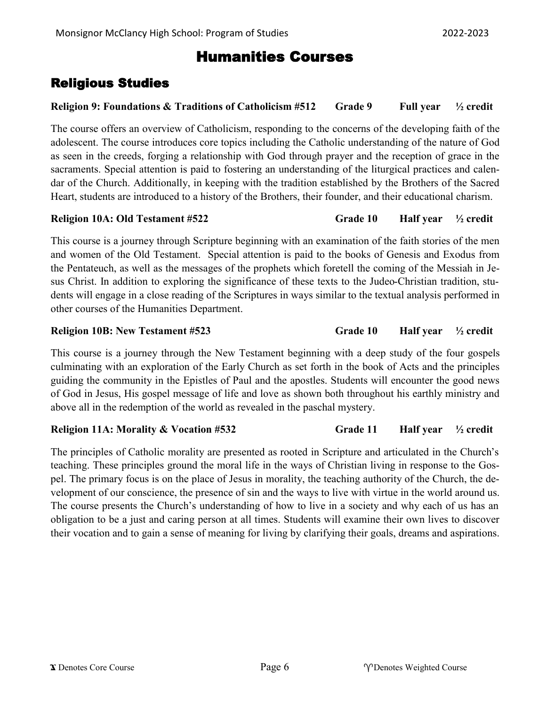## Humanities Courses

## Religious Studies

## **Religion 9: Foundations & Traditions of Catholicism #512 Grade 9 Full year ½ credit**

The course offers an overview of Catholicism, responding to the concerns of the developing faith of the adolescent. The course introduces core topics including the Catholic understanding of the nature of God as seen in the creeds, forging a relationship with God through prayer and the reception of grace in the sacraments. Special attention is paid to fostering an understanding of the liturgical practices and calendar of the Church. Additionally, in keeping with the tradition established by the Brothers of the Sacred Heart, students are introduced to a history of the Brothers, their founder, and their educational charism.

## **Religion 10A: Old Testament #522 Grade 10 Half year ½ credit**

This course is a journey through Scripture beginning with an examination of the faith stories of the men and women of the Old Testament. Special attention is paid to the books of Genesis and Exodus from the Pentateuch, as well as the messages of the prophets which foretell the coming of the Messiah in Jesus Christ. In addition to exploring the significance of these texts to the Judeo-Christian tradition, students will engage in a close reading of the Scriptures in ways similar to the textual analysis performed in other courses of the Humanities Department.

## **Religion 10B: New Testament #523 Grade 10 Half year ½ credit**

This course is a journey through the New Testament beginning with a deep study of the four gospels culminating with an exploration of the Early Church as set forth in the book of Acts and the principles guiding the community in the Epistles of Paul and the apostles. Students will encounter the good news of God in Jesus, His gospel message of life and love as shown both throughout his earthly ministry and above all in the redemption of the world as revealed in the paschal mystery.

## **Religion 11A: Morality & Vocation #532 Grade 11 Half year ½ credit**

The principles of Catholic morality are presented as rooted in Scripture and articulated in the Church's teaching. These principles ground the moral life in the ways of Christian living in response to the Gospel. The primary focus is on the place of Jesus in morality, the teaching authority of the Church, the development of our conscience, the presence of sin and the ways to live with virtue in the world around us. The course presents the Church's understanding of how to live in a society and why each of us has an obligation to be a just and caring person at all times. Students will examine their own lives to discover their vocation and to gain a sense of meaning for living by clarifying their goals, dreams and aspirations.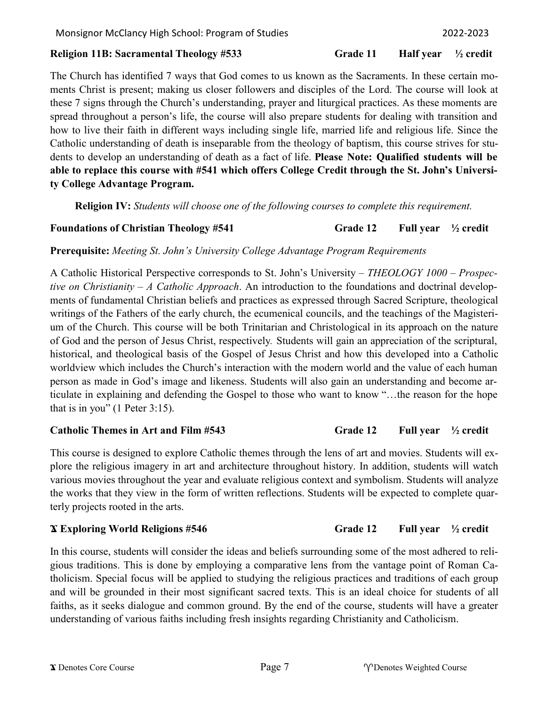## **Religion 11B: Sacramental Theology #533 Grade 11 Half year ½ credit**

The Church has identified 7 ways that God comes to us known as the Sacraments. In these certain moments Christ is present; making us closer followers and disciples of the Lord. The course will look at these 7 signs through the Church's understanding, prayer and liturgical practices. As these moments are spread throughout a person's life, the course will also prepare students for dealing with transition and how to live their faith in different ways including single life, married life and religious life. Since the Catholic understanding of death is inseparable from the theology of baptism, this course strives for students to develop an understanding of death as a fact of life. **Please Note: Qualified students will be able to replace this course with #541 which offers College Credit through the St. John's University College Advantage Program.** 

**Religion IV:** *Students will choose one of the following courses to complete this requirement.*

## **Foundations of Christian Theology #541 Grade 12 Full year ½ credit**

**Prerequisite:** *Meeting St. John's University College Advantage Program Requirements*

A Catholic Historical Perspective corresponds to St. John's University – *THEOLOGY 1000 – Prospective on Christianity – A Catholic Approach*. An introduction to the foundations and doctrinal developments of fundamental Christian beliefs and practices as expressed through Sacred Scripture, theological writings of the Fathers of the early church, the ecumenical councils, and the teachings of the Magisterium of the Church. This course will be both Trinitarian and Christological in its approach on the nature of God and the person of Jesus Christ, respectively. Students will gain an appreciation of the scriptural, historical, and theological basis of the Gospel of Jesus Christ and how this developed into a Catholic worldview which includes the Church's interaction with the modern world and the value of each human person as made in God's image and likeness. Students will also gain an understanding and become articulate in explaining and defending the Gospel to those who want to know "…the reason for the hope that is in you" (1 Peter 3:15).

## **Catholic Themes in Art and Film #543 Grade 12 Full year ½ credit**

This course is designed to explore Catholic themes through the lens of art and movies. Students will explore the religious imagery in art and architecture throughout history. In addition, students will watch various movies throughout the year and evaluate religious context and symbolism. Students will analyze the works that they view in the form of written reflections. Students will be expected to complete quarterly projects rooted in the arts.

## **Ϫ Exploring World Religions #546 Grade 12 Full year ½ credit**

In this course, students will consider the ideas and beliefs surrounding some of the most adhered to religious traditions. This is done by employing a comparative lens from the vantage point of Roman Catholicism. Special focus will be applied to studying the religious practices and traditions of each group and will be grounded in their most significant sacred texts. This is an ideal choice for students of all faiths, as it seeks dialogue and common ground. By the end of the course, students will have a greater understanding of various faiths including fresh insights regarding Christianity and Catholicism.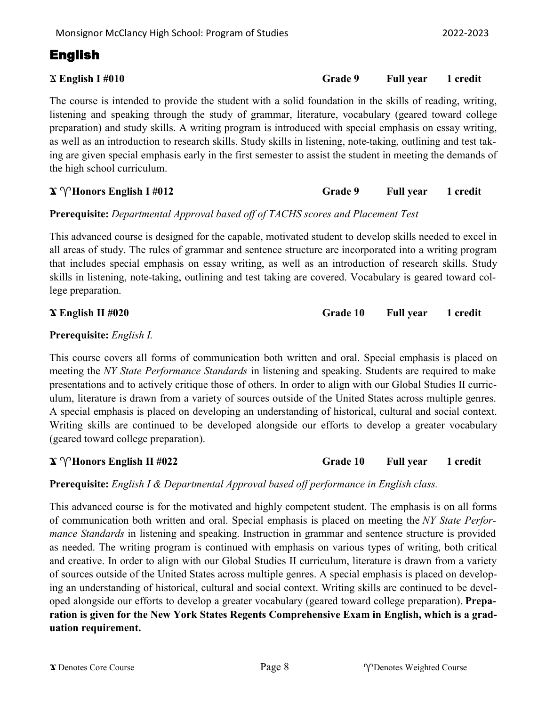The course is intended to provide the student with a solid foundation in the skills of reading, writing, listening and speaking through the study of grammar, literature, vocabulary (geared toward college preparation) and study skills. A writing program is introduced with special emphasis on essay writing, as well as an introduction to research skills. Study skills in listening, note-taking, outlining and test taking are given special emphasis early in the first semester to assist the student in meeting the demands of the high school curriculum.

## **Prerequisite:** *Departmental Approval based off of TACHS scores and Placement Test*

This advanced course is designed for the capable, motivated student to develop skills needed to excel in all areas of study. The rules of grammar and sentence structure are incorporated into a writing program that includes special emphasis on essay writing, as well as an introduction of research skills. Study skills in listening, note-taking, outlining and test taking are covered. Vocabulary is geared toward college preparation.

## **Ϫ English II #020 Grade 10 Full year 1 credit**

### **Prerequisite:** *English I.*

This course covers all forms of communication both written and oral. Special emphasis is placed on meeting the *NY State Performance Standards* in listening and speaking. Students are required to make presentations and to actively critique those of others. In order to align with our Global Studies II curriculum, literature is drawn from a variety of sources outside of the United States across multiple genres. A special emphasis is placed on developing an understanding of historical, cultural and social context. Writing skills are continued to be developed alongside our efforts to develop a greater vocabulary (geared toward college preparation).

**Prerequisite:** *English I & Departmental Approval based off performance in English class.*

This advanced course is for the motivated and highly competent student. The emphasis is on all forms of communication both written and oral. Special emphasis is placed on meeting the *NY State Performance Standards* in listening and speaking. Instruction in grammar and sentence structure is provided as needed. The writing program is continued with emphasis on various types of writing, both critical and creative. In order to align with our Global Studies II curriculum, literature is drawn from a variety of sources outside of the United States across multiple genres. A special emphasis is placed on developing an understanding of historical, cultural and social context. Writing skills are continued to be developed alongside our efforts to develop a greater vocabulary (geared toward college preparation). **Preparation is given for the New York States Regents Comprehensive Exam in English, which is a graduation requirement.**

## Ϫ **English I #010 Grade 9 Full year 1 credit**

### $\mathbf{\hat{x}} \, \mathbf{\hat{y}}$  **<b>Honors English II** #022 **Grade 10 Grade 10 Full year** 1 credit

 $\mathbf{X} \, \gamma$  **Honors English I #012 Grade 9 Full year 1 credit**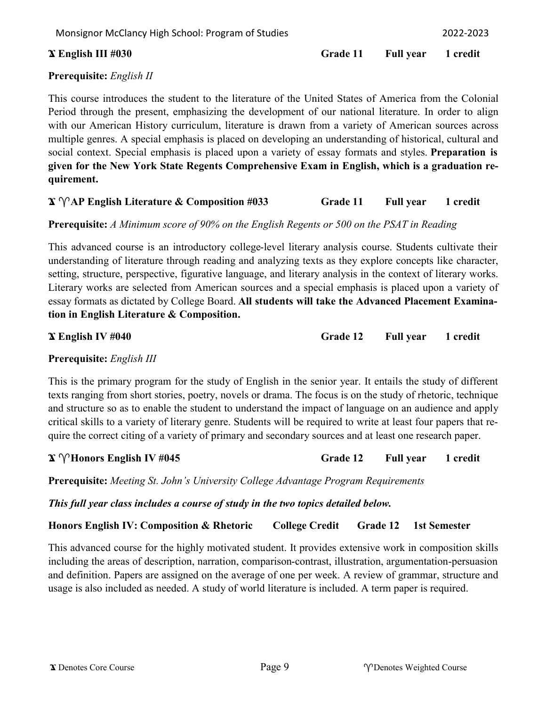### **Ϫ English III #030 Grade 11 Full year 1 credit**

## **Prerequisite:** *English II*

This course introduces the student to the literature of the United States of America from the Colonial Period through the present, emphasizing the development of our national literature. In order to align with our American History curriculum, literature is drawn from a variety of American sources across multiple genres. A special emphasis is placed on developing an understanding of historical, cultural and social context. Special emphasis is placed upon a variety of essay formats and styles. **Preparation is given for the New York State Regents Comprehensive Exam in English, which is a graduation requirement.**

## **Ϫ AP English Literature & Composition #033 Grade 11 Full year 1 credit**

## **Prerequisite:** *A Minimum score of 90% on the English Regents or 500 on the PSAT in Reading*

This advanced course is an introductory college-level literary analysis course. Students cultivate their understanding of literature through reading and analyzing texts as they explore concepts like character, setting, structure, perspective, figurative language, and literary analysis in the context of literary works. Literary works are selected from American sources and a special emphasis is placed upon a variety of essay formats as dictated by College Board. **All students will take the Advanced Placement Examination in English Literature & Composition.**

**Ϫ English IV #040 Grade 12 Full year 1 credit**

### **Prerequisite:** *English III*

This is the primary program for the study of English in the senior year. It entails the study of different texts ranging from short stories, poetry, novels or drama. The focus is on the study of rhetoric, technique and structure so as to enable the student to understand the impact of language on an audience and apply critical skills to a variety of literary genre. Students will be required to write at least four papers that require the correct citing of a variety of primary and secondary sources and at least one research paper.

### **Ϫ Honors English IV #045 Grade 12 Full year 1 credit**

**Prerequisite:** *Meeting St. John's University College Advantage Program Requirements* 

*This full year class includes a course of study in the two topics detailed below.*

**Honors English IV: Composition & Rhetoric College Credit Grade 12 1st Semester**

This advanced course for the highly motivated student. It provides extensive work in composition skills including the areas of description, narration, comparison-contrast, illustration, argumentation-persuasion and definition. Papers are assigned on the average of one per week. A review of grammar, structure and usage is also included as needed. A study of world literature is included. A term paper is required.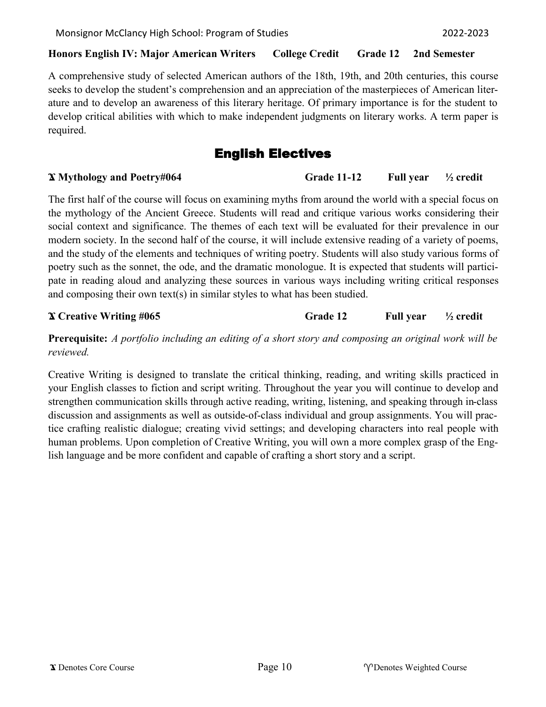### **Honors English IV: Major American Writers College Credit Grade 12 2nd Semester**

A comprehensive study of selected American authors of the 18th, 19th, and 20th centuries, this course seeks to develop the student's comprehension and an appreciation of the masterpieces of American literature and to develop an awareness of this literary heritage. Of primary importance is for the student to develop critical abilities with which to make independent judgments on literary works. A term paper is required.

## English Electives

## **Ϫ Mythology and Poetry#064 Grade 11-12 Full year ½ credit**

The first half of the course will focus on examining myths from around the world with a special focus on the mythology of the Ancient Greece. Students will read and critique various works considering their social context and significance. The themes of each text will be evaluated for their prevalence in our modern society. In the second half of the course, it will include extensive reading of a variety of poems, and the study of the elements and techniques of writing poetry. Students will also study various forms of poetry such as the sonnet, the ode, and the dramatic monologue. It is expected that students will participate in reading aloud and analyzing these sources in various ways including writing critical responses and composing their own text(s) in similar styles to what has been studied.

### **Ϫ Creative Writing #065 Grade 12 Full year ½ credit**

**Prerequisite:** *A portfolio including an editing of a short story and composing an original work will be reviewed.*

Creative Writing is designed to translate the critical thinking, reading, and writing skills practiced in your English classes to fiction and script writing. Throughout the year you will continue to develop and strengthen communication skills through active reading, writing, listening, and speaking through in-class discussion and assignments as well as outside-of-class individual and group assignments. You will practice crafting realistic dialogue; creating vivid settings; and developing characters into real people with human problems. Upon completion of Creative Writing, you will own a more complex grasp of the English language and be more confident and capable of crafting a short story and a script.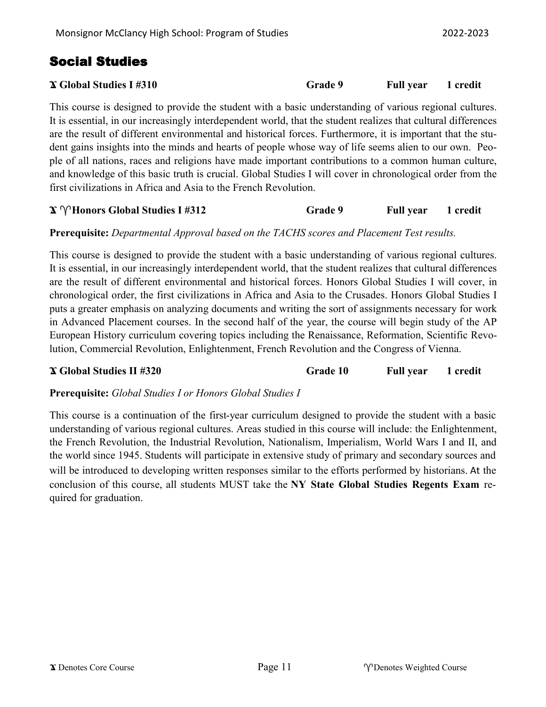## Social Studies

| <b>X</b> Global Studies I #310 | <b>Grade 9</b> | <b>Full year</b> | 1 credit |
|--------------------------------|----------------|------------------|----------|
|--------------------------------|----------------|------------------|----------|

This course is designed to provide the student with a basic understanding of various regional cultures. It is essential, in our increasingly interdependent world, that the student realizes that cultural differences are the result of different environmental and historical forces. Furthermore, it is important that the student gains insights into the minds and hearts of people whose way of life seems alien to our own. People of all nations, races and religions have made important contributions to a common human culture, and knowledge of this basic truth is crucial. Global Studies I will cover in chronological order from the first civilizations in Africa and Asia to the French Revolution.

## $\mathbf{X} \, \gamma$  **Honors Global Studies I #312 Grade 9 Full year** 1 credit

## **Prerequisite:** *Departmental Approval based on the TACHS scores and Placement Test results.*

This course is designed to provide the student with a basic understanding of various regional cultures. It is essential, in our increasingly interdependent world, that the student realizes that cultural differences are the result of different environmental and historical forces. Honors Global Studies I will cover, in chronological order, the first civilizations in Africa and Asia to the Crusades. Honors Global Studies I puts a greater emphasis on analyzing documents and writing the sort of assignments necessary for work in Advanced Placement courses. In the second half of the year, the course will begin study of the AP European History curriculum covering topics including the Renaissance, Reformation, Scientific Revolution, Commercial Revolution, Enlightenment, French Revolution and the Congress of Vienna.

**Ϫ Global Studies II #320 Grade 10 Full year 1 credit** 

**Prerequisite:** *Global Studies I or Honors Global Studies I*

This course is a continuation of the first-year curriculum designed to provide the student with a basic understanding of various regional cultures. Areas studied in this course will include: the Enlightenment, the French Revolution, the Industrial Revolution, Nationalism, Imperialism, World Wars I and II, and the world since 1945. Students will participate in extensive study of primary and secondary sources and will be introduced to developing written responses similar to the efforts performed by historians. At the conclusion of this course, all students MUST take the **NY State Global Studies Regents Exam** required for graduation.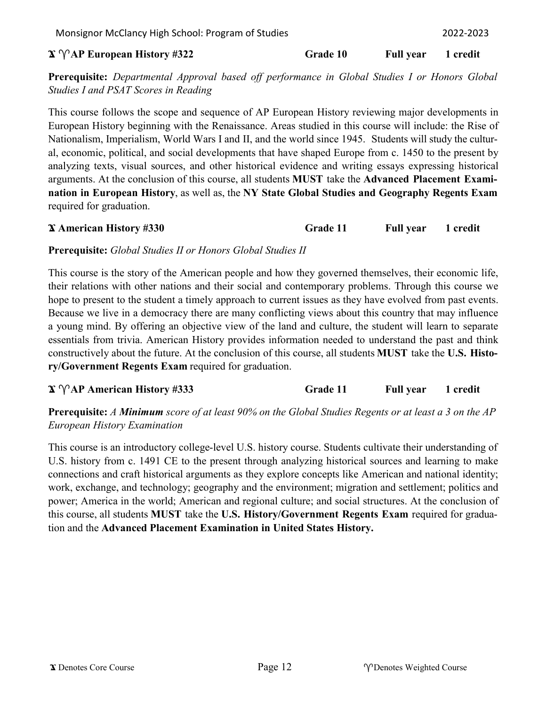### $\mathbf{X} \, \gamma \, \text{AP}$  **European History #322** Grade 10 Full year 1 credit

**Prerequisite:** *Departmental Approval based off performance in Global Studies I or Honors Global Studies I and PSAT Scores in Reading*

This course follows the scope and sequence of AP European History reviewing major developments in European History beginning with the Renaissance. Areas studied in this course will include: the Rise of Nationalism, Imperialism, World Wars I and II, and the world since 1945. Students will study the cultural, economic, political, and social developments that have shaped Europe from c. 1450 to the present by analyzing texts, visual sources, and other historical evidence and writing essays expressing historical arguments. At the conclusion of this course, all students **MUST** take the **Advanced Placement Examination in European History**, as well as, the **NY State Global Studies and Geography Regents Exam**  required for graduation.

## **Ϫ American History #330 Grade 11 Full year 1 credit**

## **Prerequisite:** *Global Studies II or Honors Global Studies II*

This course is the story of the American people and how they governed themselves, their economic life, their relations with other nations and their social and contemporary problems. Through this course we hope to present to the student a timely approach to current issues as they have evolved from past events. Because we live in a democracy there are many conflicting views about this country that may influence a young mind. By offering an objective view of the land and culture, the student will learn to separate essentials from trivia. American History provides information needed to understand the past and think constructively about the future. At the conclusion of this course, all students **MUST** take the **U.S. History/Government Regents Exam** required for graduation.

| $\mathbf{\hat{x}}$ $\mathbf{\hat{y}}$ AP American History #333 | Grade 11 | <b>Full year</b> | 1 credit |
|----------------------------------------------------------------|----------|------------------|----------|
|----------------------------------------------------------------|----------|------------------|----------|

**Prerequisite:** *A Minimum score of at least 90% on the Global Studies Regents or at least a 3 on the AP European History Examination*

This course is an introductory college-level U.S. history course. Students cultivate their understanding of U.S. history from c. 1491 CE to the present through analyzing historical sources and learning to make connections and craft historical arguments as they explore concepts like American and national identity; work, exchange, and technology; geography and the environment; migration and settlement; politics and power; America in the world; American and regional culture; and social structures. At the conclusion of this course, all students **MUST** take the **U.S. History/Government Regents Exam** required for graduation and the **Advanced Placement Examination in United States History.**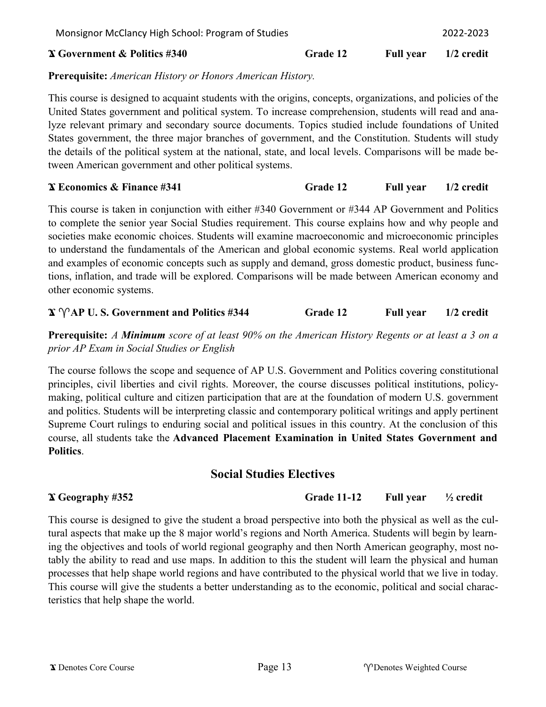### **Ϫ Government & Politics #340 Grade 12 Full year 1/2 credit**

### **Prerequisite:** *American History or Honors American History.*

This course is designed to acquaint students with the origins, concepts, organizations, and policies of the United States government and political system. To increase comprehension, students will read and analyze relevant primary and secondary source documents. Topics studied include foundations of United States government, the three major branches of government, and the Constitution. Students will study the details of the political system at the national, state, and local levels. Comparisons will be made between American government and other political systems.

### **Ϫ Economics & Finance #341 Grade 12 Full year 1/2 credit**

This course is taken in conjunction with either #340 Government or #344 AP Government and Politics to complete the senior year Social Studies requirement. This course explains how and why people and societies make economic choices. Students will examine macroeconomic and microeconomic principles to understand the fundamentals of the American and global economic systems. Real world application and examples of economic concepts such as supply and demand, gross domestic product, business functions, inflation, and trade will be explored. Comparisons will be made between American economy and other economic systems.

## **Ϫ AP U. S. Government and Politics #344 Grade 12 Full year 1/2 credit**

**Prerequisite:** *A Minimum score of at least 90% on the American History Regents or at least a 3 on a prior AP Exam in Social Studies or English*

The course follows the scope and sequence of AP U.S. Government and Politics covering constitutional principles, civil liberties and civil rights. Moreover, the course discusses political institutions, policymaking, political culture and citizen participation that are at the foundation of modern U.S. government and politics. Students will be interpreting classic and contemporary political writings and apply pertinent Supreme Court rulings to enduring social and political issues in this country. At the conclusion of this course, all students take the **Advanced Placement Examination in United States Government and Politics**.

## **Social Studies Electives**

**Ϫ Geography #352 Grade 11-12 Full year ½ credit**

This course is designed to give the student a broad perspective into both the physical as well as the cultural aspects that make up the 8 major world's regions and North America. Students will begin by learning the objectives and tools of world regional geography and then North American geography, most notably the ability to read and use maps. In addition to this the student will learn the physical and human processes that help shape world regions and have contributed to the physical world that we live in today. This course will give the students a better understanding as to the economic, political and social characteristics that help shape the world.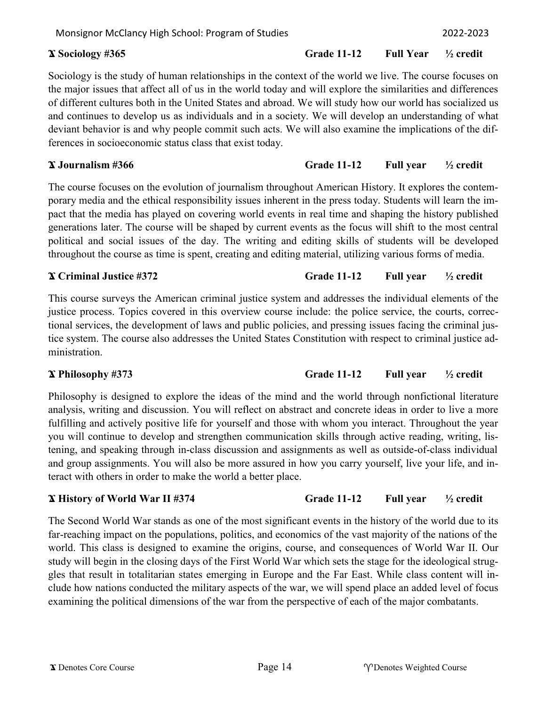### **Ϫ Sociology #365 Grade 11-12 Full Year ½ credit**

## Sociology is the study of human relationships in the context of the world we live. The course focuses on the major issues that affect all of us in the world today and will explore the similarities and differences of different cultures both in the United States and abroad. We will study how our world has socialized us and continues to develop us as individuals and in a society. We will develop an understanding of what deviant behavior is and why people commit such acts. We will also examine the implications of the differences in socioeconomic status class that exist today.

## **Ϫ Journalism #366 Grade 11-12 Full year ½ credit**

The course focuses on the evolution of journalism throughout American History. It explores the contemporary media and the ethical responsibility issues inherent in the press today. Students will learn the impact that the media has played on covering world events in real time and shaping the history published generations later. The course will be shaped by current events as the focus will shift to the most central political and social issues of the day. The writing and editing skills of students will be developed throughout the course as time is spent, creating and editing material, utilizing various forms of media.

## **Ϫ Criminal Justice #372 Grade 11-12 Full year ½ credit**

This course surveys the American criminal justice system and addresses the individual elements of the justice process. Topics covered in this overview course include: the police service, the courts, correctional services, the development of laws and public policies, and pressing issues facing the criminal justice system. The course also addresses the United States Constitution with respect to criminal justice administration.

## **Ϫ Philosophy #373 Grade 11-12 Full year ½ credit**

Philosophy is designed to explore the ideas of the mind and the world through nonfictional literature analysis, writing and discussion. You will reflect on abstract and concrete ideas in order to live a more fulfilling and actively positive life for yourself and those with whom you interact. Throughout the year you will continue to develop and strengthen communication skills through active reading, writing, listening, and speaking through in-class discussion and assignments as well as outside-of-class individual and group assignments. You will also be more assured in how you carry yourself, live your life, and interact with others in order to make the world a better place.

## **Ϫ History of World War II #374 Grade 11-12 Full year ½ credit**

The Second World War stands as one of the most significant events in the history of the world due to its far-reaching impact on the populations, politics, and economics of the vast majority of the nations of the world. This class is designed to examine the origins, course, and consequences of World War II. Our study will begin in the closing days of the First World War which sets the stage for the ideological struggles that result in totalitarian states emerging in Europe and the Far East. While class content will include how nations conducted the military aspects of the war, we will spend place an added level of focus examining the political dimensions of the war from the perspective of each of the major combatants.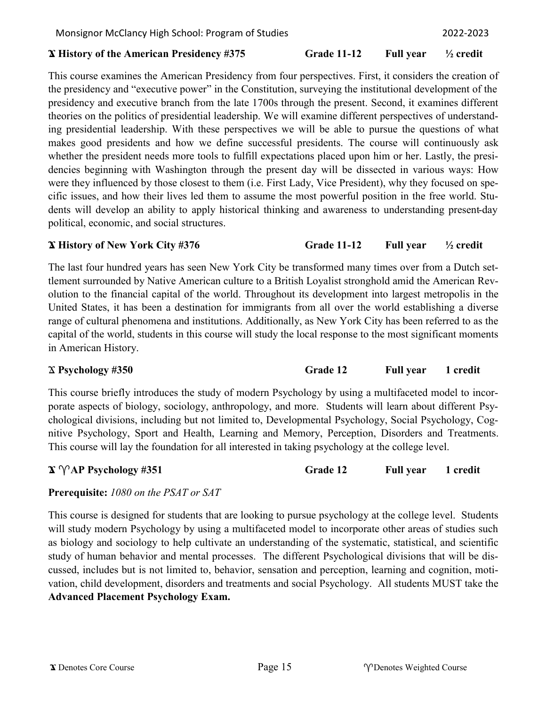#### **Ϫ History of the American Presidency #375 Grade 11-12 Full year ½ credit**

This course examines the American Presidency from four perspectives. First, it considers the creation of the presidency and "executive power" in the Constitution, surveying the institutional development of the presidency and executive branch from the late 1700s through the present. Second, it examines different theories on the politics of presidential leadership. We will examine different perspectives of understanding presidential leadership. With these perspectives we will be able to pursue the questions of what makes good presidents and how we define successful presidents. The course will continuously ask whether the president needs more tools to fulfill expectations placed upon him or her. Lastly, the presidencies beginning with Washington through the present day will be dissected in various ways: How were they influenced by those closest to them (i.e. First Lady, Vice President), why they focused on specific issues, and how their lives led them to assume the most powerful position in the free world. Students will develop an ability to apply historical thinking and awareness to understanding present-day political, economic, and social structures.

### **Ϫ History of New York City #376 Grade 11-12 Full year ½ credit**

The last four hundred years has seen New York City be transformed many times over from a Dutch settlement surrounded by Native American culture to a British Loyalist stronghold amid the American Revolution to the financial capital of the world. Throughout its development into largest metropolis in the United States, it has been a destination for immigrants from all over the world establishing a diverse range of cultural phenomena and institutions. Additionally, as New York City has been referred to as the capital of the world, students in this course will study the local response to the most significant moments in American History.

## Ϫ **Psychology #350 Grade 12 Full year 1 credit**

This course briefly introduces the study of modern Psychology by using a multifaceted model to incorporate aspects of biology, sociology, anthropology, and more. Students will learn about different Psychological divisions, including but not limited to, Developmental Psychology, Social Psychology, Cognitive Psychology, Sport and Health, Learning and Memory, Perception, Disorders and Treatments. This course will lay the foundation for all interested in taking psychology at the college level.

## $\mathbf{\hat{x}} \, \mathbf{\hat{y}} \, \mathbf{A} \mathbf{P} \, \mathbf{P} \mathbf{sychology #351}$  **<b>Grade 12 Full year** 1 credit

## **Prerequisite:** *1080 on the PSAT or SAT*

This course is designed for students that are looking to pursue psychology at the college level. Students will study modern Psychology by using a multifaceted model to incorporate other areas of studies such as biology and sociology to help cultivate an understanding of the systematic, statistical, and scientific study of human behavior and mental processes. The different Psychological divisions that will be discussed, includes but is not limited to, behavior, sensation and perception, learning and cognition, motivation, child development, disorders and treatments and social Psychology. All students MUST take the **Advanced Placement Psychology Exam.**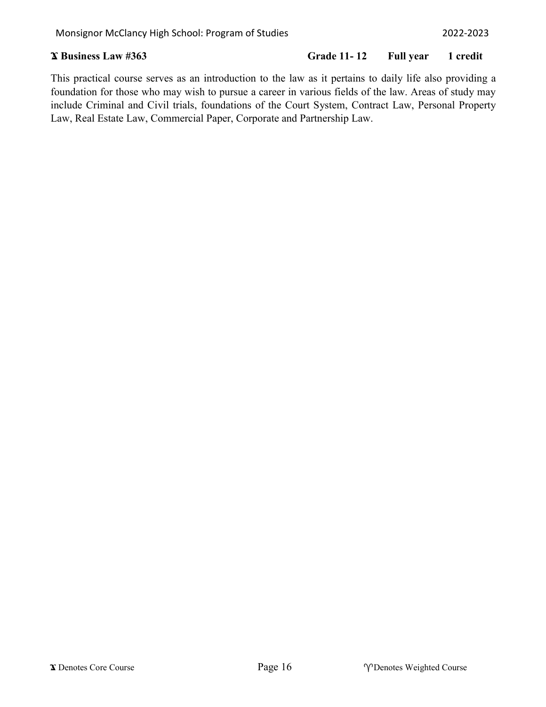## **Ϫ Business Law #363 Grade 11- 12 Full year 1 credit**

This practical course serves as an introduction to the law as it pertains to daily life also providing a foundation for those who may wish to pursue a career in various fields of the law. Areas of study may include Criminal and Civil trials, foundations of the Court System, Contract Law, Personal Property Law, Real Estate Law, Commercial Paper, Corporate and Partnership Law.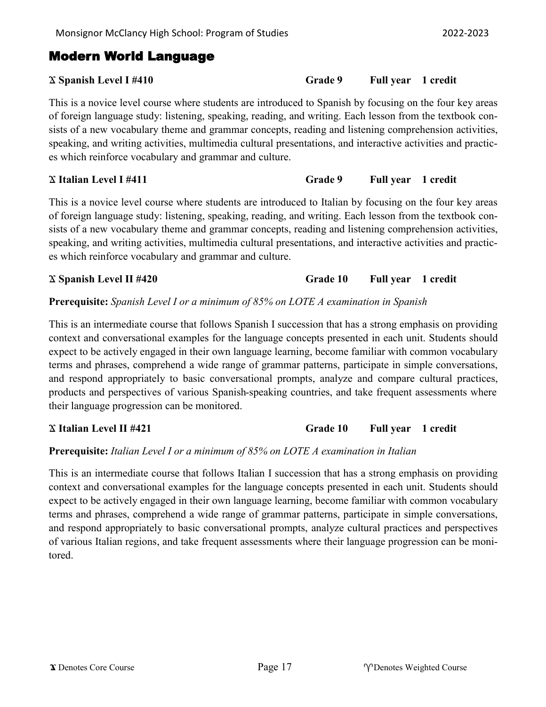## Modern World Language

This is a novice level course where students are introduced to Spanish by focusing on the four key areas of foreign language study: listening, speaking, reading, and writing. Each lesson from the textbook consists of a new vocabulary theme and grammar concepts, reading and listening comprehension activities, speaking, and writing activities, multimedia cultural presentations, and interactive activities and practices which reinforce vocabulary and grammar and culture.

## Ϫ **Italian Level I #411 Grade 9 Full year 1 credit**

This is a novice level course where students are introduced to Italian by focusing on the four key areas of foreign language study: listening, speaking, reading, and writing. Each lesson from the textbook consists of a new vocabulary theme and grammar concepts, reading and listening comprehension activities, speaking, and writing activities, multimedia cultural presentations, and interactive activities and practices which reinforce vocabulary and grammar and culture.

## **Prerequisite:** *Spanish Level I or a minimum of 85% on LOTE A examination in Spanish*

This is an intermediate course that follows Spanish I succession that has a strong emphasis on providing context and conversational examples for the language concepts presented in each unit. Students should expect to be actively engaged in their own language learning, become familiar with common vocabulary terms and phrases, comprehend a wide range of grammar patterns, participate in simple conversations, and respond appropriately to basic conversational prompts, analyze and compare cultural practices, products and perspectives of various Spanish-speaking countries, and take frequent assessments where their language progression can be monitored.

# Ϫ **Italian Level II #421 Grade 10 Full year 1 credit**

## **Prerequisite:** *Italian Level I or a minimum of 85% on LOTE A examination in Italian*

This is an intermediate course that follows Italian I succession that has a strong emphasis on providing context and conversational examples for the language concepts presented in each unit. Students should expect to be actively engaged in their own language learning, become familiar with common vocabulary terms and phrases, comprehend a wide range of grammar patterns, participate in simple conversations, and respond appropriately to basic conversational prompts, analyze cultural practices and perspectives of various Italian regions, and take frequent assessments where their language progression can be monitored.

## Ϫ **Spanish Level I #410 Grade 9 Full year 1 credit**

Ϫ **Spanish Level II #420 Grade 10 Full year 1 credit**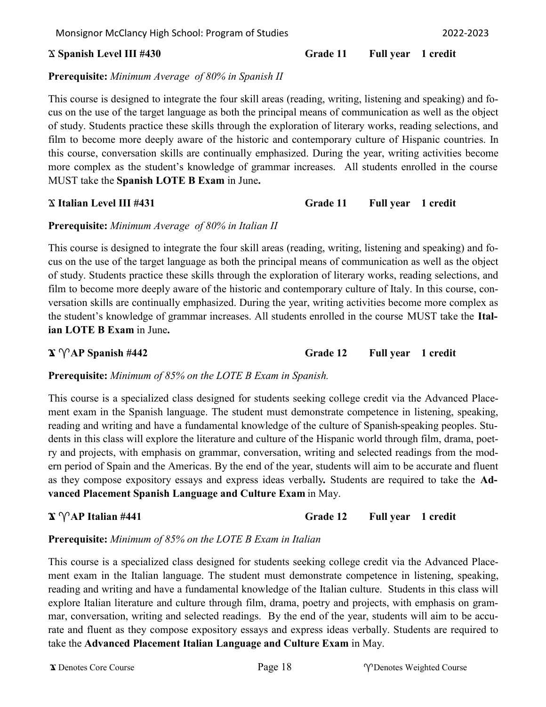Monsignor McClancy High School: Program of Studies 2022-2023

## **Prerequisite:** *Minimum Average of 80% in Spanish II*

This course is designed to integrate the four skill areas (reading, writing, listening and speaking) and focus on the use of the target language as both the principal means of communication as well as the object of study. Students practice these skills through the exploration of literary works, reading selections, and film to become more deeply aware of the historic and contemporary culture of Hispanic countries. In this course, conversation skills are continually emphasized. During the year, writing activities become more complex as the student's knowledge of grammar increases. All students enrolled in the course MUST take the **Spanish LOTE B Exam** in June**.**

Ϫ **Italian Level III #431 Grade 11 Full year 1 credit**

## **Prerequisite:** *Minimum Average of 80% in Italian II*

This course is designed to integrate the four skill areas (reading, writing, listening and speaking) and focus on the use of the target language as both the principal means of communication as well as the object of study. Students practice these skills through the exploration of literary works, reading selections, and film to become more deeply aware of the historic and contemporary culture of Italy. In this course, conversation skills are continually emphasized. During the year, writing activities become more complex as the student's knowledge of grammar increases. All students enrolled in the course MUST take the **Italian LOTE B Exam** in June**.**

## $\mathbf{\hat{x}} \, \hat{\mathbf{\hat{y}}}$  **AP Spanish #442 Grade 12 Full year** 1 credit

**Prerequisite:** *Minimum of 85% on the LOTE B Exam in Spanish.*

This course is a specialized class designed for students seeking college credit via the Advanced Placement exam in the Spanish language. The student must demonstrate competence in listening, speaking, reading and writing and have a fundamental knowledge of the culture of Spanish-speaking peoples. Students in this class will explore the literature and culture of the Hispanic world through film, drama, poetry and projects, with emphasis on grammar, conversation, writing and selected readings from the modern period of Spain and the Americas. By the end of the year, students will aim to be accurate and fluent as they compose expository essays and express ideas verbally**.** Students are required to take the **Advanced Placement Spanish Language and Culture Exam** in May.

## $\mathbf{\hat{x}} \, \mathbf{\hat{Y}}$  **AP Italian #441 Grade 12 Full year** 1 credit

## **Prerequisite:** *Minimum of 85% on the LOTE B Exam in Italian*

This course is a specialized class designed for students seeking college credit via the Advanced Placement exam in the Italian language. The student must demonstrate competence in listening, speaking, reading and writing and have a fundamental knowledge of the Italian culture. Students in this class will explore Italian literature and culture through film, drama, poetry and projects, with emphasis on grammar, conversation, writing and selected readings. By the end of the year, students will aim to be accurate and fluent as they compose expository essays and express ideas verbally. Students are required to take the **Advanced Placement Italian Language and Culture Exam** in May.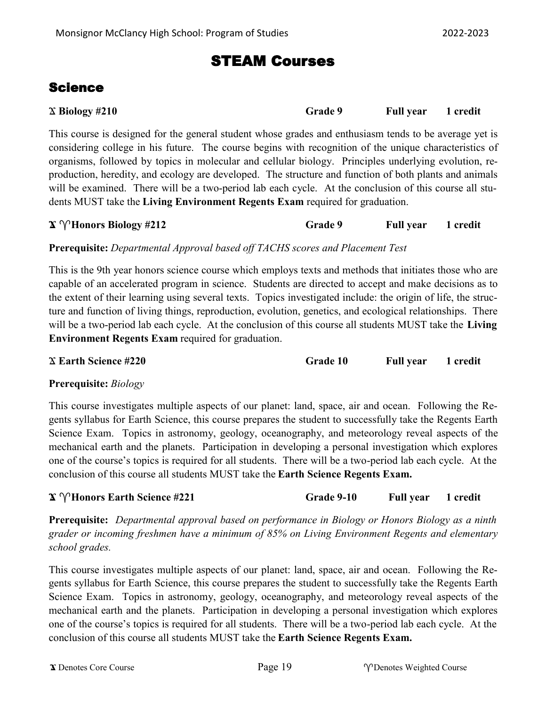## STEAM Courses

## Science

| $\chi$ Biology #210 | Grade 9 | Full year 1 credit |  |
|---------------------|---------|--------------------|--|
|                     |         |                    |  |

This course is designed for the general student whose grades and enthusiasm tends to be average yet is considering college in his future. The course begins with recognition of the unique characteristics of organisms, followed by topics in molecular and cellular biology. Principles underlying evolution, reproduction, heredity, and ecology are developed. The structure and function of both plants and animals will be examined. There will be a two-period lab each cycle. At the conclusion of this course all students MUST take the **Living Environment Regents Exam** required for graduation.

| $\mathbf{\hat{x}} \ \mathbf{\hat{y}}$ Honors Biology #212 | Grade 9 | <b>Full year</b> | 1 credit |
|-----------------------------------------------------------|---------|------------------|----------|
|                                                           |         |                  |          |

**Prerequisite:** *Departmental Approval based off TACHS scores and Placement Test*

This is the 9th year honors science course which employs texts and methods that initiates those who are capable of an accelerated program in science. Students are directed to accept and make decisions as to the extent of their learning using several texts. Topics investigated include: the origin of life, the structure and function of living things, reproduction, evolution, genetics, and ecological relationships. There will be a two-period lab each cycle. At the conclusion of this course all students MUST take the **Living Environment Regents Exam** required for graduation.

Ϫ **Earth Science #220 Grade 10 Full year 1 credit**

## **Prerequisite:** *Biology*

This course investigates multiple aspects of our planet: land, space, air and ocean. Following the Regents syllabus for Earth Science, this course prepares the student to successfully take the Regents Earth Science Exam. Topics in astronomy, geology, oceanography, and meteorology reveal aspects of the mechanical earth and the planets. Participation in developing a personal investigation which explores one of the course's topics is required for all students. There will be a two-period lab each cycle. At the conclusion of this course all students MUST take the **Earth Science Regents Exam.**

## **Ϫ Honors Earth Science #221 Grade 9-10 Full year 1 credit**

**Prerequisite:** *Departmental approval based on performance in Biology or Honors Biology as a ninth grader or incoming freshmen have a minimum of 85% on Living Environment Regents and elementary school grades.*

This course investigates multiple aspects of our planet: land, space, air and ocean. Following the Regents syllabus for Earth Science, this course prepares the student to successfully take the Regents Earth Science Exam. Topics in astronomy, geology, oceanography, and meteorology reveal aspects of the mechanical earth and the planets. Participation in developing a personal investigation which explores one of the course's topics is required for all students. There will be a two-period lab each cycle. At the conclusion of this course all students MUST take the **Earth Science Regents Exam.**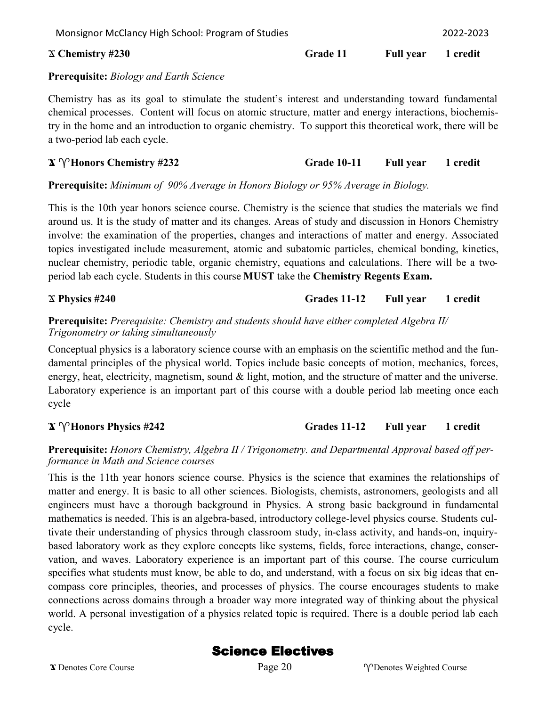Monsignor McClancy High School: Program of Studies 2022-2023

### Ϫ **Chemistry #230 Grade 11 Full year 1 credit**

## **Prerequisite:** *Biology and Earth Science*

Chemistry has as its goal to stimulate the student's interest and understanding toward fundamental chemical processes. Content will focus on atomic structure, matter and energy interactions, biochemistry in the home and an introduction to organic chemistry. To support this theoretical work, there will be a two-period lab each cycle.

## **Ϫ Honors Chemistry #232 Grade 10-11 Full year 1 credit**

## **Prerequisite:** *Minimum of 90% Average in Honors Biology or 95% Average in Biology.*

This is the 10th year honors science course. Chemistry is the science that studies the materials we find around us. It is the study of matter and its changes. Areas of study and discussion in Honors Chemistry involve: the examination of the properties, changes and interactions of matter and energy. Associated topics investigated include measurement, atomic and subatomic particles, chemical bonding, kinetics, nuclear chemistry, periodic table, organic chemistry, equations and calculations. There will be a twoperiod lab each cycle. Students in this course **MUST** take the **Chemistry Regents Exam.**

## Ϫ **Physics #240 Grades 11-12 Full year 1 credit**

## **Prerequisite:** *Prerequisite: Chemistry and students should have either completed Algebra II/ Trigonometry or taking simultaneously*

Conceptual physics is a laboratory science course with an emphasis on the scientific method and the fundamental principles of the physical world. Topics include basic concepts of motion, mechanics, forces, energy, heat, electricity, magnetism, sound & light, motion, and the structure of matter and the universe. Laboratory experience is an important part of this course with a double period lab meeting once each cycle

## **Ϫ Honors Physics #242 Grades 11-12 Full year 1 credit**

## **Prerequisite:** *Honors Chemistry, Algebra II / Trigonometry. and Departmental Approval based off performance in Math and Science courses*

This is the 11th year honors science course. Physics is the science that examines the relationships of matter and energy. It is basic to all other sciences. Biologists, chemists, astronomers, geologists and all engineers must have a thorough background in Physics. A strong basic background in fundamental mathematics is needed. This is an algebra-based, introductory college-level physics course. Students cultivate their understanding of physics through classroom study, in-class activity, and hands-on, inquirybased laboratory work as they explore concepts like systems, fields, force interactions, change, conservation, and waves. Laboratory experience is an important part of this course. The course curriculum specifies what students must know, be able to do, and understand, with a focus on six big ideas that encompass core principles, theories, and processes of physics. The course encourages students to make connections across domains through a broader way more integrated way of thinking about the physical world. A personal investigation of a physics related topic is required. There is a double period lab each cycle.

## Science Electives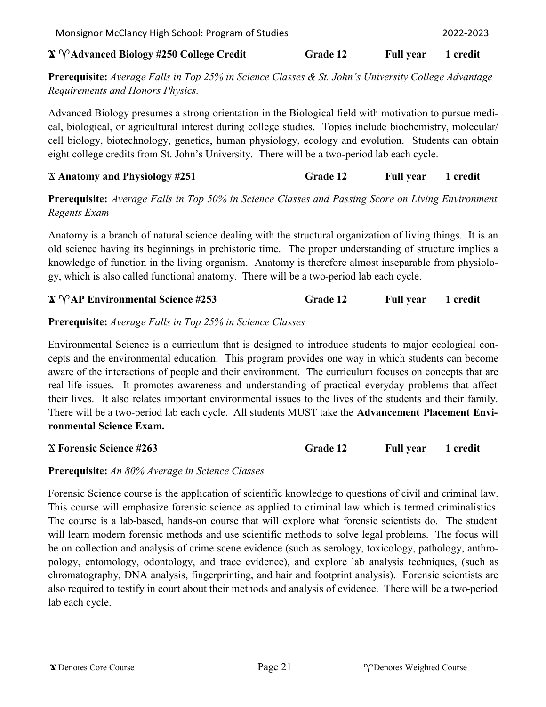| eight college credits from St. John's University. There will be a two-period lab each cycle. |  |  |  |
|----------------------------------------------------------------------------------------------|--|--|--|

*Requirements and Honors Physics.*

**Prerequisite:** *Average Falls in Top 50% in Science Classes and Passing Score on Living Environment Regents Exam*

 $\mathbf{\hat{X}} \, \mathbf{\hat{Y}}$  **Advanced Biology #250 College Credit Grade 12 Full year** 1 credit

**Prerequisite:** *Average Falls in Top 25% in Science Classes & St. John's University College Advantage* 

Advanced Biology presumes a strong orientation in the Biological field with motivation to pursue medical, biological, or agricultural interest during college studies. Topics include biochemistry, molecular/ cell biology, biotechnology, genetics, human physiology, ecology and evolution. Students can obtain

Anatomy is a branch of natural science dealing with the structural organization of living things. It is an old science having its beginnings in prehistoric time. The proper understanding of structure implies a knowledge of function in the living organism. Anatomy is therefore almost inseparable from physiology, which is also called functional anatomy. There will be a two-period lab each cycle.

## **Ϫ AP Environmental Science #253 Grade 12 Full year 1 credit**

**Prerequisite:** *Average Falls in Top 25% in Science Classes*

Environmental Science is a curriculum that is designed to introduce students to major ecological concepts and the environmental education. This program provides one way in which students can become aware of the interactions of people and their environment. The curriculum focuses on concepts that are real-life issues. It promotes awareness and understanding of practical everyday problems that affect their lives. It also relates important environmental issues to the lives of the students and their family. There will be a two-period lab each cycle. All students MUST take the **Advancement Placement Environmental Science Exam.**

Ϫ **Forensic Science #263 Grade 12 Full year 1 credit**

## **Prerequisite:** *An 80% Average in Science Classes*

Forensic Science course is the application of scientific knowledge to questions of civil and criminal law. This course will emphasize forensic science as applied to criminal law which is termed criminalistics. The course is a lab-based, hands-on course that will explore what forensic scientists do. The student will learn modern forensic methods and use scientific methods to solve legal problems. The focus will be on collection and analysis of crime scene evidence (such as serology, toxicology, pathology, anthropology, entomology, odontology, and trace evidence), and explore lab analysis techniques, (such as chromatography, DNA analysis, fingerprinting, and hair and footprint analysis). Forensic scientists are also required to testify in court about their methods and analysis of evidence. There will be a two-period lab each cycle.

Ϫ **Anatomy and Physiology #251 Grade 12 Full year 1 credit**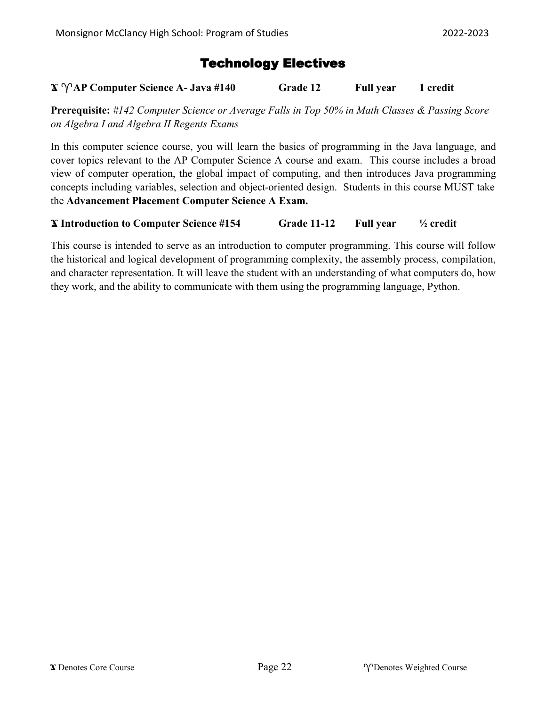## Technology Electives

## **Ϫ AP Computer Science A- Java #140 Grade 12 Full year 1 credit**

**Prerequisite:** *#142 Computer Science or Average Falls in Top 50% in Math Classes & Passing Score on Algebra I and Algebra II Regents Exams*

In this computer science course, you will learn the basics of programming in the Java language, and cover topics relevant to the AP Computer Science A course and exam. This course includes a broad view of computer operation, the global impact of computing, and then introduces Java programming concepts including variables, selection and object-oriented design. Students in this course MUST take the **Advancement Placement Computer Science A Exam.**

## **Ϫ Introduction to Computer Science #154 Grade 11-12 Full year ½ credit**

This course is intended to serve as an introduction to computer programming. This course will follow the historical and logical development of programming complexity, the assembly process, compilation, and character representation. It will leave the student with an understanding of what computers do, how they work, and the ability to communicate with them using the programming language, Python.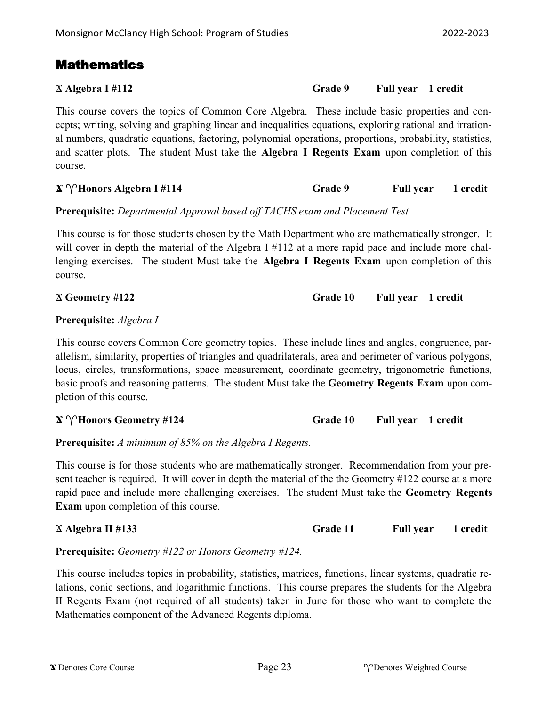## Mathematics

## Ϫ **Algebra I #112 Grade 9 Full year 1 credit**

This course covers the topics of Common Core Algebra. These include basic properties and concepts; writing, solving and graphing linear and inequalities equations, exploring rational and irrational numbers, quadratic equations, factoring, polynomial operations, proportions, probability, statistics, and scatter plots. The student Must take the **Algebra I Regents Exam** upon completion of this course.

 $\mathbf{X} \, \mathcal{W}$ **Honors Algebra I #114 Grade 9 Full year 1 credit** 

**Prerequisite:** *Departmental Approval based off TACHS exam and Placement Test*

This course is for those students chosen by the Math Department who are mathematically stronger. It will cover in depth the material of the Algebra I #112 at a more rapid pace and include more challenging exercises. The student Must take the **Algebra I Regents Exam** upon completion of this course.

## **Prerequisite:** *Algebra I*

This course covers Common Core geometry topics. These include lines and angles, congruence, parallelism, similarity, properties of triangles and quadrilaterals, area and perimeter of various polygons, locus, circles, transformations, space measurement, coordinate geometry, trigonometric functions, basic proofs and reasoning patterns. The student Must take the **Geometry Regents Exam** upon completion of this course.

 $\mathbf{X} \, \gamma$  **Honors Geometry #124 Grade 10 Full year** 1 credit

**Prerequisite:** *A minimum of 85% on the Algebra I Regents.*

This course is for those students who are mathematically stronger. Recommendation from your present teacher is required. It will cover in depth the material of the the Geometry #122 course at a more rapid pace and include more challenging exercises. The student Must take the **Geometry Regents Exam** upon completion of this course.

| $\chi$ Algebra II #133 | Grade 11 | <b>Full year</b> | 1 credit |
|------------------------|----------|------------------|----------|
|                        |          |                  |          |

**Prerequisite:** *Geometry #122 or Honors Geometry #124.*

This course includes topics in probability, statistics, matrices, functions, linear systems, quadratic relations, conic sections, and logarithmic functions. This course prepares the students for the Algebra II Regents Exam (not required of all students) taken in June for those who want to complete the Mathematics component of the Advanced Regents diploma.

Ϫ **Geometry #122 Grade 10 Full year 1 credit**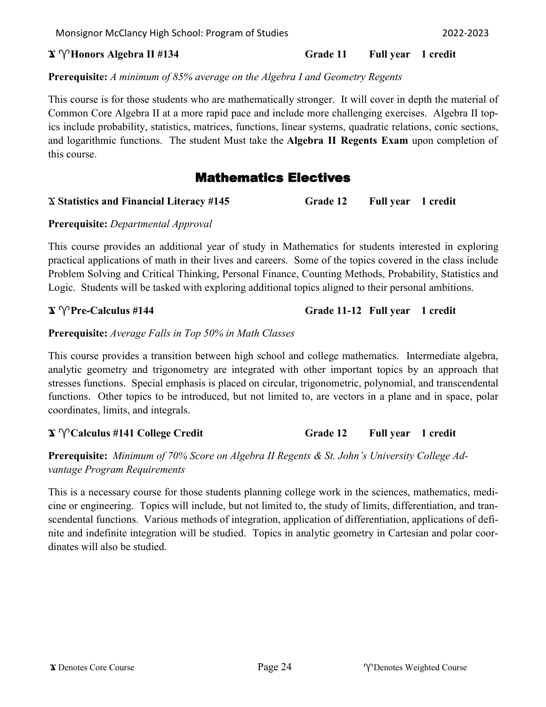**Prerequisite:** *A minimum of 85% average on the Algebra I and Geometry Regents*

This course is for those students who are mathematically stronger. It will cover in depth the material of Common Core Algebra II at a more rapid pace and include more challenging exercises. Algebra II topics include probability, statistics, matrices, functions, linear systems, quadratic relations, conic sections, and logarithmic functions. The student Must take the **Algebra II Regents Exam** upon completion of this course.

## Mathematics Electives

### Ϫ **Statistics and Financial Literacy #145 Grade 12 Full year 1 credit**

**Prerequisite:** *Departmental Approval*

This course provides an additional year of study in Mathematics for students interested in exploring practical applications of math in their lives and careers. Some of the topics covered in the class include Problem Solving and Critical Thinking, Personal Finance, Counting Methods, Probability, Statistics and Logic. Students will be tasked with exploring additional topics aligned to their personal ambitions.

## **Ϫ Pre-Calculus #144 Grade 11-12 Full year 1 credit**

**Prerequisite:** *Average Falls in Top 50% in Math Classes* 

This course provides a transition between high school and college mathematics. Intermediate algebra, analytic geometry and trigonometry are integrated with other important topics by an approach that stresses functions. Special emphasis is placed on circular, trigonometric, polynomial, and transcendental functions. Other topics to be introduced, but not limited to, are vectors in a plane and in space, polar coordinates, limits, and integrals.

## **Ϫ Calculus #141 College Credit Grade 12 Full year 1 credit**

**Prerequisite:** *Minimum of 70% Score on Algebra II Regents & St. John's University College Advantage Program Requirements*

This is a necessary course for those students planning college work in the sciences, mathematics, medicine or engineering. Topics will include, but not limited to, the study of limits, differentiation, and transcendental functions. Various methods of integration, application of differentiation, applications of definite and indefinite integration will be studied. Topics in analytic geometry in Cartesian and polar coordinates will also be studied.

 $\mathbf{\hat{x}} \, \gamma$ **Honors Algebra II #134 Grade 11 Full year** 1 credit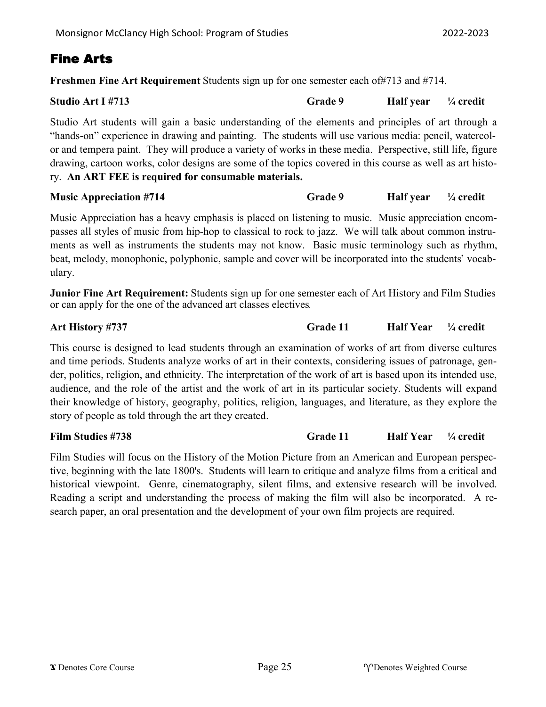## Fine Arts

**Freshmen Fine Art Requirement** Students sign up for one semester each of#713 and #714.

| Studio Art I #713                                                                                          | <b>Grade 9</b> | Half year $\frac{1}{4}$ credit |  |
|------------------------------------------------------------------------------------------------------------|----------------|--------------------------------|--|
| Studio Art students will gain a basic understanding of the elements and principles of art through a        |                |                                |  |
| "hands-on" experience in drawing and painting. The students will use various media: pencil, watercol-      |                |                                |  |
| or and tempera paint. They will produce a variety of works in these media. Perspective, still life, figure |                |                                |  |
| drawing, cartoon works, color designs are some of the topics covered in this course as well as art histo-  |                |                                |  |
| ry. An ART FEE is required for consumable materials.                                                       |                |                                |  |

## **Music Appreciation #714 Grade 9 Half year**  $\frac{1}{4}$  credit

Music Appreciation has a heavy emphasis is placed on listening to music. Music appreciation encompasses all styles of music from hip-hop to classical to rock to jazz. We will talk about common instruments as well as instruments the students may not know. Basic music terminology such as rhythm, beat, melody, monophonic, polyphonic, sample and cover will be incorporated into the students' vocabulary.

**Junior Fine Art Requirement:** Students sign up for one semester each of Art History and Film Studies or can apply for the one of the advanced art classes electives.

## **Art History #737 Grade 11 Half Year ¼ credit**

This course is designed to lead students through an examination of works of art from diverse cultures and time periods. Students analyze works of art in their contexts, considering issues of patronage, gender, politics, religion, and ethnicity. The interpretation of the work of art is based upon its intended use, audience, and the role of the artist and the work of art in its particular society. Students will expand their knowledge of history, geography, politics, religion, languages, and literature, as they explore the story of people as told through the art they created.

## **Film Studies #738 Grade 11 Half Year ¼ credit**

Film Studies will focus on the History of the Motion Picture from an American and European perspective, beginning with the late 1800's. Students will learn to critique and analyze films from a critical and historical viewpoint. Genre, cinematography, silent films, and extensive research will be involved. Reading a script and understanding the process of making the film will also be incorporated. A research paper, an oral presentation and the development of your own film projects are required.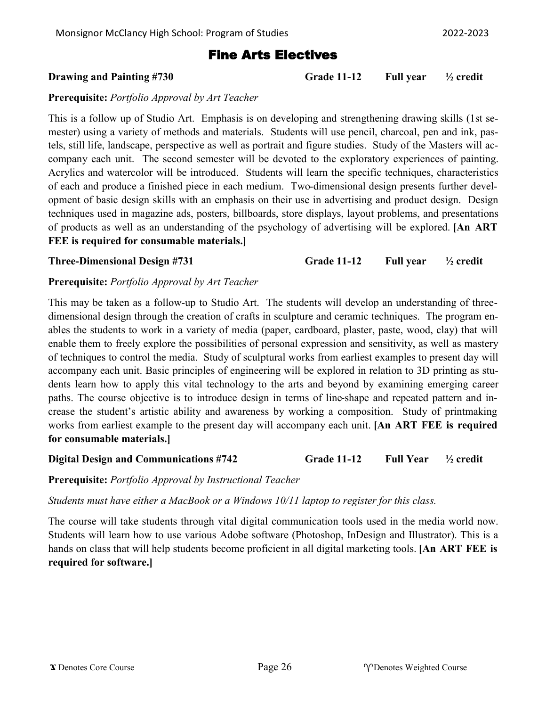## Fine Arts Electives

## **Drawing and Painting #730 Grade 11-12 Full year ½ credit**

### **Prerequisite:** *Portfolio Approval by Art Teacher*

This is a follow up of Studio Art. Emphasis is on developing and strengthening drawing skills (1st semester) using a variety of methods and materials. Students will use pencil, charcoal, pen and ink, pastels, still life, landscape, perspective as well as portrait and figure studies. Study of the Masters will accompany each unit. The second semester will be devoted to the exploratory experiences of painting. Acrylics and watercolor will be introduced. Students will learn the specific techniques, characteristics of each and produce a finished piece in each medium. Two-dimensional design presents further development of basic design skills with an emphasis on their use in advertising and product design. Design techniques used in magazine ads, posters, billboards, store displays, layout problems, and presentations of products as well as an understanding of the psychology of advertising will be explored. **[An ART FEE is required for consumable materials.]**

**Three-Dimensional Design #731 Grade 11-12 Full year ½ credit**

## **Prerequisite:** *Portfolio Approval by Art Teacher*

This may be taken as a follow-up to Studio Art. The students will develop an understanding of threedimensional design through the creation of crafts in sculpture and ceramic techniques. The program enables the students to work in a variety of media (paper, cardboard, plaster, paste, wood, clay) that will enable them to freely explore the possibilities of personal expression and sensitivity, as well as mastery of techniques to control the media. Study of sculptural works from earliest examples to present day will accompany each unit. Basic principles of engineering will be explored in relation to 3D printing as students learn how to apply this vital technology to the arts and beyond by examining emerging career paths. The course objective is to introduce design in terms of line-shape and repeated pattern and increase the student's artistic ability and awareness by working a composition. Study of printmaking works from earliest example to the present day will accompany each unit. **[An ART FEE is required for consumable materials.]**

**Digital Design and Communications #742 Grade 11-12 Full Year ½ credit**

**Prerequisite:** *Portfolio Approval by Instructional Teacher*

*Students must have either a MacBook or a Windows 10/11 laptop to register for this class.*

The course will take students through vital digital communication tools used in the media world now. Students will learn how to use various Adobe software (Photoshop, InDesign and Illustrator). This is a hands on class that will help students become proficient in all digital marketing tools. **[An ART FEE is required for software.]**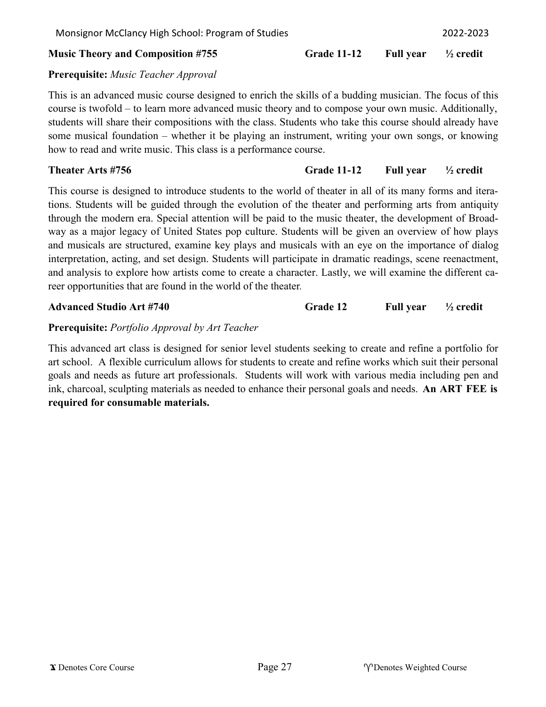how to read and write music. This class is a performance course.

#### **Music Theory and Composition #755 Grade 11-12 Full year ½ credit**

**Prerequisite:** *Music Teacher Approval* This is an advanced music course designed to enrich the skills of a budding musician. The focus of this course is twofold – to learn more advanced music theory and to compose your own music. Additionally, students will share their compositions with the class. Students who take this course should already have some musical foundation – whether it be playing an instrument, writing your own songs, or knowing

### **Theater Arts #756 Grade 11-12 Full year ½ credit**

This course is designed to introduce students to the world of theater in all of its many forms and iterations. Students will be guided through the evolution of the theater and performing arts from antiquity through the modern era. Special attention will be paid to the music theater, the development of Broadway as a major legacy of United States pop culture. Students will be given an overview of how plays and musicals are structured, examine key plays and musicals with an eye on the importance of dialog interpretation, acting, and set design. Students will participate in dramatic readings, scene reenactment, and analysis to explore how artists come to create a character. Lastly, we will examine the different career opportunities that are found in the world of the theater.

**Advanced Studio Art #740 Grade 12 Full year ½ credit**

## **Prerequisite:** *Portfolio Approval by Art Teacher*

This advanced art class is designed for senior level students seeking to create and refine a portfolio for art school. A flexible curriculum allows for students to create and refine works which suit their personal goals and needs as future art professionals. Students will work with various media including pen and ink, charcoal, sculpting materials as needed to enhance their personal goals and needs. **An ART FEE is required for consumable materials.**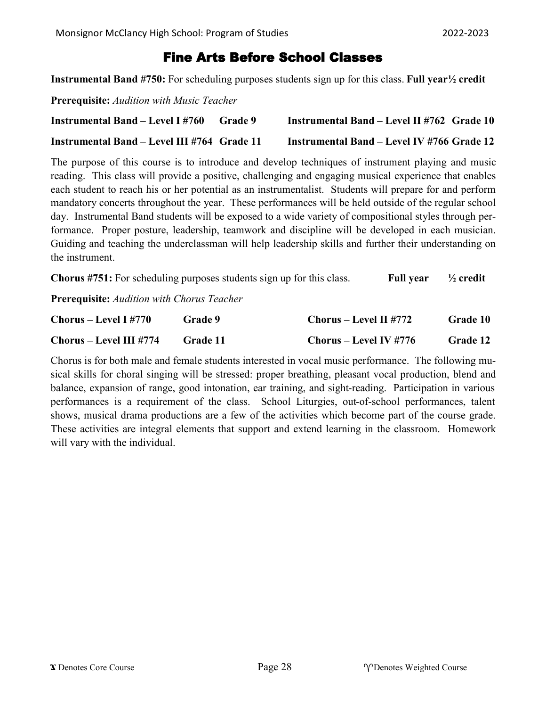## Fine Arts Before School Classes

**Instrumental Band #750:** For scheduling purposes students sign up for this class. **Full year½ credit** 

**Prerequisite:** *Audition with Music Teacher*

| <b>Instrumental Band – Level I #760</b>     | <b>Grade</b> 9 | <b>Instrumental Band – Level II #762 Grade 10</b> |  |
|---------------------------------------------|----------------|---------------------------------------------------|--|
| Instrumental Band – Level III #764 Grade 11 |                | Instrumental Band – Level IV #766 Grade 12        |  |

The purpose of this course is to introduce and develop techniques of instrument playing and music reading. This class will provide a positive, challenging and engaging musical experience that enables each student to reach his or her potential as an instrumentalist. Students will prepare for and perform mandatory concerts throughout the year. These performances will be held outside of the regular school day. Instrumental Band students will be exposed to a wide variety of compositional styles through performance. Proper posture, leadership, teamwork and discipline will be developed in each musician. Guiding and teaching the underclassman will help leadership skills and further their understanding on the instrument.

| <b>Chorus #751:</b> For scheduling purposes students sign up for this class. | Full year $\frac{1}{2}$ credit |  |
|------------------------------------------------------------------------------|--------------------------------|--|
|------------------------------------------------------------------------------|--------------------------------|--|

**Prerequisite:** *Audition with Chorus Teacher*

| $Chorus - Level I #770$ | Grade 9  | Chorus – Level II #772 | Grade 10        |
|-------------------------|----------|------------------------|-----------------|
| Chorus – Level III #774 | Grade 11 | Chorus – Level IV #776 | <b>Grade 12</b> |

Chorus is for both male and female students interested in vocal music performance. The following musical skills for choral singing will be stressed: proper breathing, pleasant vocal production, blend and balance, expansion of range, good intonation, ear training, and sight-reading. Participation in various performances is a requirement of the class. School Liturgies, out-of-school performances, talent shows, musical drama productions are a few of the activities which become part of the course grade. These activities are integral elements that support and extend learning in the classroom. Homework will vary with the individual.